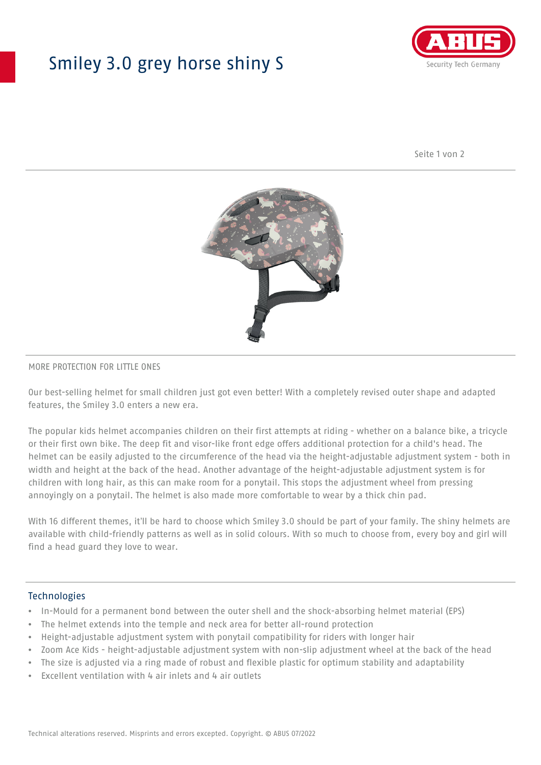## Smiley 3.0 grey horse shiny S



Seite 1 von 2



#### MORE PROTECTION FOR LITTLE ONES

Our best-selling helmet for small children just got even better! With a completely revised outer shape and adapted features, the Smiley 3.0 enters a new era.

The popular kids helmet accompanies children on their first attempts at riding - whether on a balance bike, a tricycle or their first own bike. The deep fit and visor-like front edge offers additional protection for a child's head. The helmet can be easily adjusted to the circumference of the head via the height-adjustable adjustment system - both in width and height at the back of the head. Another advantage of the height-adjustable adjustment system is for children with long hair, as this can make room for a ponytail. This stops the adjustment wheel from pressing annoyingly on a ponytail. The helmet is also made more comfortable to wear by a thick chin pad.

With 16 different themes, it'll be hard to choose which Smiley 3.0 should be part of your family. The shiny helmets are available with child-friendly patterns as well as in solid colours. With so much to choose from, every boy and girl will find a head guard they love to wear.

#### Technologies

- In-Mould for a permanent bond between the outer shell and the shock-absorbing helmet material (EPS)
- The helmet extends into the temple and neck area for better all-round protection
- Height-adjustable adjustment system with ponytail compatibility for riders with longer hair
- Zoom Ace Kids height-adjustable adjustment system with non-slip adjustment wheel at the back of the head
- The size is adjusted via a ring made of robust and flexible plastic for optimum stability and adaptability
- Excellent ventilation with 4 air inlets and 4 air outlets